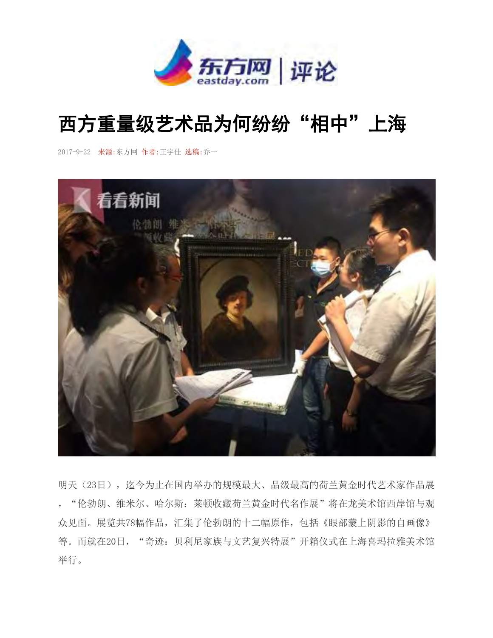

## 西方重量级艺术品为何纷纷"相中"上海

2017-9-22 来源:东方网 作者:王宇佳 选稿:乔一



明天(23日),迄今为止在国内举办的规模最大、品级最高的荷兰黄金时代艺术家作品展 ,"伦勃朗、维米尔、哈尔斯:莱顿收藏荷兰黄金时代名作展"将在龙美术馆西岸馆与观 众见面。展览共78幅作品,汇集了伦勃朗的十二幅原作,包括《眼部蒙上阴影的自画像》 等。而就在20日, "奇迹: 贝利尼家族与文艺复兴特展"开箱仪式在上海喜玛拉雅美术馆 举行。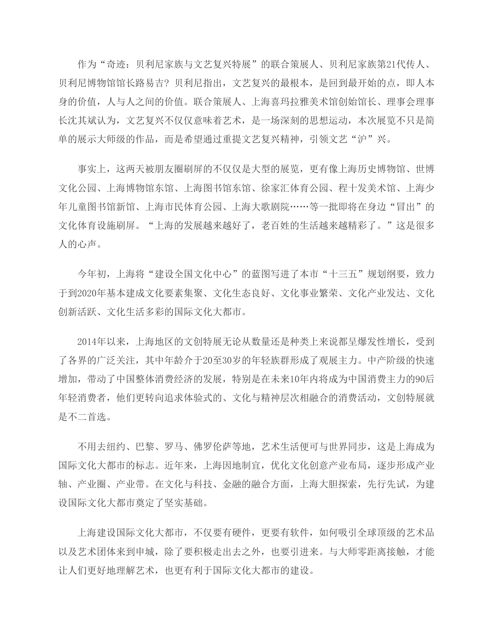作为"奇迹: 贝利尼家族与文艺复兴特展"的联合策展人、贝利尼家族第21代传人、 贝利尼博物馆馆长路易吉? 贝利尼指出,文艺复兴的最根本,是回到最开始的点,即人本 身的价值,人与人之间的价值。联合策展人、上海喜玛拉雅美术馆创始馆长、理事会理事 长沈其斌认为,文艺复兴不仅仅意味着艺术,是一场深刻的思想运动,本次展览不只是简 单的展示大师级的作品,而是希望通过重提文艺复兴精神,引领文艺"沪"兴。

 事实上,这两天被朋友圈刷屏的不仅仅是大型的展览,更有像上海历史博物馆、世博 文化公园、上海博物馆东馆、上海图书馆东馆、徐家汇体育公园、程十发美术馆、上海少 年儿童图书馆新馆、上海市民体育公园、上海大歌剧院……等一批即将在身边"冒出"的 文化体育设施刷屏。"上海的发展越来越好了,老百姓的生活越来越精彩了。"这是很多 人的心声。

今年初, 上海将"建设全国文化中心"的蓝图写进了本市"十三五"规划纲要, 致力 于到2020年基本建成文化要素集聚、文化生态良好、文化事业繁荣、文化产业发达、文化 创新活跃、文化生活多彩的国际文化大都市。

 2014年以来,上海地区的文创特展无论从数量还是种类上来说都呈爆发性增长,受到 了各界的广泛关注,其中年龄介于20至30岁的年轻族群形成了观展主力。中产阶级的快速 增加,带动了中国整体消费经济的发展,特别是在未来10年内将成为中国消费主力的90后 年轻消费者,他们更转向追求体验式的、文化与精神层次相融合的消费活动,文创特展就 是不二首选。

 不用去纽约、巴黎、罗马、佛罗伦萨等地,艺术生活便可与世界同步,这是上海成为 国际文化大都市的标志。近年来,上海因地制宜,优化文化创意产业布局,逐步形成产业 轴、产业圈、产业带。在文化与科技、金融的融合方面,上海大胆探索,先行先试,为建 设国际文化大都市奠定了坚实基础。

 上海建设国际文化大都市,不仅要有硬件,更要有软件,如何吸引全球顶级的艺术品 以及艺术团体来到申城,除了要积极走出去之外,也要引进来。与大师零距离接触,才能 让人们更好地理解艺术,也更有利于国际文化大都市的建设。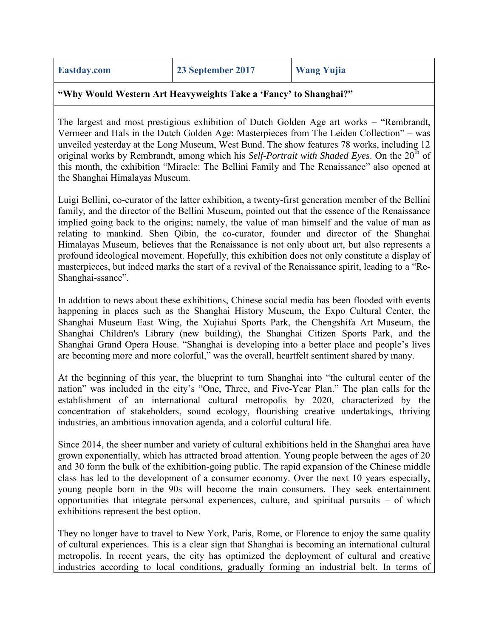## **"Why Would Western Art Heavyweights Take a 'Fancy' to Shanghai?"**

The largest and most prestigious exhibition of Dutch Golden Age art works – "Rembrandt, Vermeer and Hals in the Dutch Golden Age: Masterpieces from The Leiden Collection" – was unveiled yesterday at the Long Museum, West Bund. The show features 78 works, including 12 original works by Rembrandt, among which his *Self-Portrait with Shaded Eyes*. On the 20<sup>th</sup> of this month, the exhibition "Miracle: The Bellini Family and The Renaissance" also opened at the Shanghai Himalayas Museum.

Luigi Bellini, co-curator of the latter exhibition, a twenty-first generation member of the Bellini family, and the director of the Bellini Museum, pointed out that the essence of the Renaissance implied going back to the origins; namely, the value of man himself and the value of man as relating to mankind. Shen Qibin, the co-curator, founder and director of the Shanghai Himalayas Museum, believes that the Renaissance is not only about art, but also represents a profound ideological movement. Hopefully, this exhibition does not only constitute a display of masterpieces, but indeed marks the start of a revival of the Renaissance spirit, leading to a "Re-Shanghai-ssance".

In addition to news about these exhibitions, Chinese social media has been flooded with events happening in places such as the Shanghai History Museum, the Expo Cultural Center, the Shanghai Museum East Wing, the Xujiahui Sports Park, the Chengshifa Art Museum, the Shanghai Children's Library (new building), the Shanghai Citizen Sports Park, and the Shanghai Grand Opera House. "Shanghai is developing into a better place and people's lives are becoming more and more colorful," was the overall, heartfelt sentiment shared by many.

At the beginning of this year, the blueprint to turn Shanghai into "the cultural center of the nation" was included in the city's "One, Three, and Five-Year Plan." The plan calls for the establishment of an international cultural metropolis by 2020, characterized by the concentration of stakeholders, sound ecology, flourishing creative undertakings, thriving industries, an ambitious innovation agenda, and a colorful cultural life.

Since 2014, the sheer number and variety of cultural exhibitions held in the Shanghai area have grown exponentially, which has attracted broad attention. Young people between the ages of 20 and 30 form the bulk of the exhibition-going public. The rapid expansion of the Chinese middle class has led to the development of a consumer economy. Over the next 10 years especially, young people born in the 90s will become the main consumers. They seek entertainment opportunities that integrate personal experiences, culture, and spiritual pursuits – of which exhibitions represent the best option.

They no longer have to travel to New York, Paris, Rome, or Florence to enjoy the same quality of cultural experiences. This is a clear sign that Shanghai is becoming an international cultural metropolis. In recent years, the city has optimized the deployment of cultural and creative industries according to local conditions, gradually forming an industrial belt. In terms of